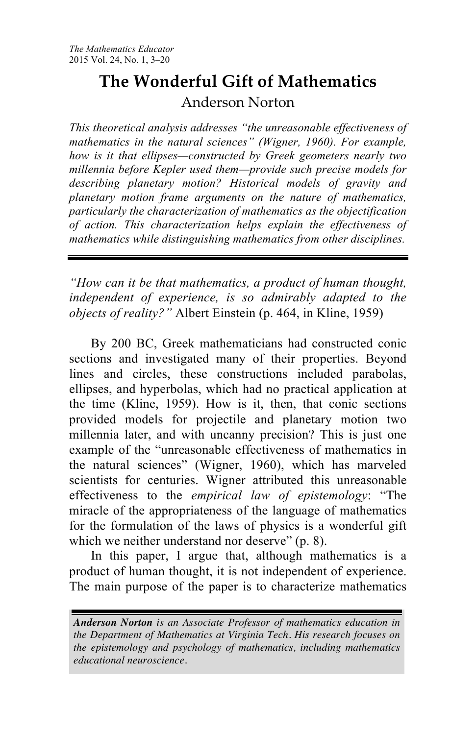# **The Wonderful Gift of Mathematics** Anderson Norton

*This theoretical analysis addresses "the unreasonable effectiveness of mathematics in the natural sciences" (Wigner, 1960). For example, how is it that ellipses—constructed by Greek geometers nearly two millennia before Kepler used them—provide such precise models for describing planetary motion? Historical models of gravity and planetary motion frame arguments on the nature of mathematics, particularly the characterization of mathematics as the objectification of action. This characterization helps explain the effectiveness of mathematics while distinguishing mathematics from other disciplines.* 

*"How can it be that mathematics, a product of human thought, independent of experience, is so admirably adapted to the objects of reality?"* Albert Einstein (p. 464, in Kline, 1959)

By 200 BC, Greek mathematicians had constructed conic sections and investigated many of their properties. Beyond lines and circles, these constructions included parabolas, ellipses, and hyperbolas, which had no practical application at the time (Kline, 1959). How is it, then, that conic sections provided models for projectile and planetary motion two millennia later, and with uncanny precision? This is just one example of the "unreasonable effectiveness of mathematics in the natural sciences" (Wigner, 1960), which has marveled scientists for centuries. Wigner attributed this unreasonable effectiveness to the *empirical law of epistemology*: "The miracle of the appropriateness of the language of mathematics for the formulation of the laws of physics is a wonderful gift which we neither understand nor deserve" (p. 8).

In this paper, I argue that, although mathematics is a product of human thought, it is not independent of experience. The main purpose of the paper is to characterize mathematics

*Anderson Norton is an Associate Professor of mathematics education in the Department of Mathematics at Virginia Tech. His research focuses on the epistemology and psychology of mathematics, including mathematics educational neuroscience.*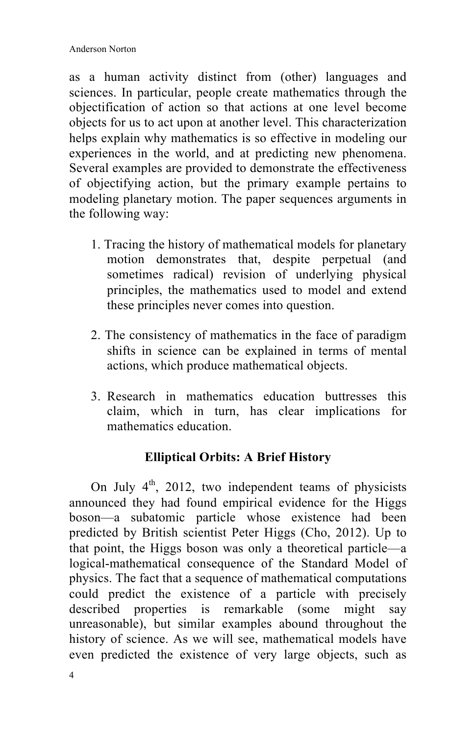as a human activity distinct from (other) languages and sciences. In particular, people create mathematics through the objectification of action so that actions at one level become objects for us to act upon at another level. This characterization helps explain why mathematics is so effective in modeling our experiences in the world, and at predicting new phenomena. Several examples are provided to demonstrate the effectiveness of objectifying action, but the primary example pertains to modeling planetary motion. The paper sequences arguments in the following way:

- 1. Tracing the history of mathematical models for planetary motion demonstrates that, despite perpetual (and sometimes radical) revision of underlying physical principles, the mathematics used to model and extend these principles never comes into question.
- 2. The consistency of mathematics in the face of paradigm shifts in science can be explained in terms of mental actions, which produce mathematical objects.
- 3. Research in mathematics education buttresses this claim, which in turn, has clear implications for mathematics education.

# **Elliptical Orbits: A Brief History**

On July  $4<sup>th</sup>$ , 2012, two independent teams of physicists announced they had found empirical evidence for the Higgs boson—a subatomic particle whose existence had been predicted by British scientist Peter Higgs (Cho, 2012). Up to that point, the Higgs boson was only a theoretical particle—a logical-mathematical consequence of the Standard Model of physics. The fact that a sequence of mathematical computations could predict the existence of a particle with precisely described properties is remarkable (some might say unreasonable), but similar examples abound throughout the history of science. As we will see, mathematical models have even predicted the existence of very large objects, such as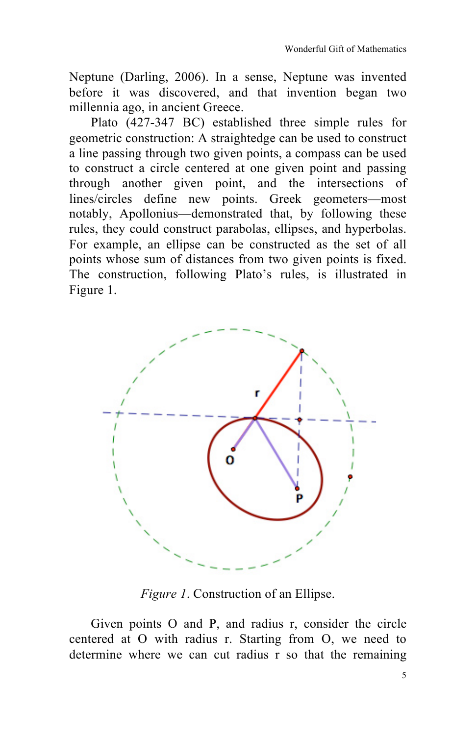Neptune (Darling, 2006). In a sense, Neptune was invented before it was discovered, and that invention began two millennia ago, in ancient Greece.

Plato (427-347 BC) established three simple rules for geometric construction: A straightedge can be used to construct a line passing through two given points, a compass can be used to construct a circle centered at one given point and passing through another given point, and the intersections of lines/circles define new points. Greek geometers—most notably, Apollonius—demonstrated that, by following these rules, they could construct parabolas, ellipses, and hyperbolas. For example, an ellipse can be constructed as the set of all points whose sum of distances from two given points is fixed. The construction, following Plato's rules, is illustrated in Figure 1.



*Figure 1*. Construction of an Ellipse.

Given points O and P, and radius r, consider the circle centered at O with radius r. Starting from O, we need to determine where we can cut radius r so that the remaining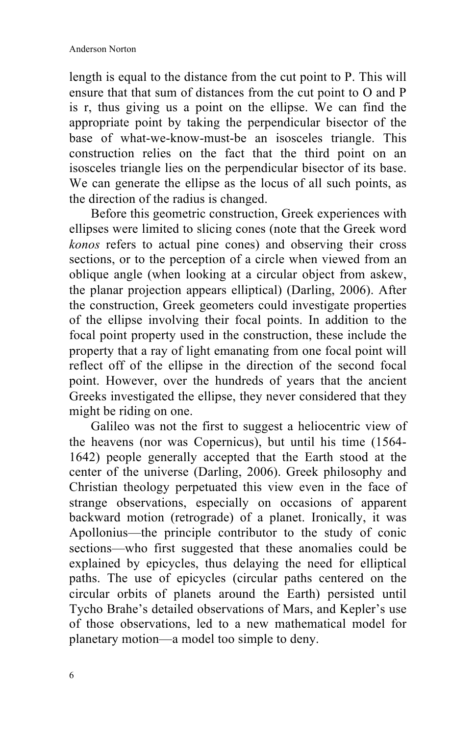length is equal to the distance from the cut point to P. This will ensure that that sum of distances from the cut point to O and P is r, thus giving us a point on the ellipse. We can find the appropriate point by taking the perpendicular bisector of the base of what-we-know-must-be an isosceles triangle. This construction relies on the fact that the third point on an isosceles triangle lies on the perpendicular bisector of its base. We can generate the ellipse as the locus of all such points, as the direction of the radius is changed.

Before this geometric construction, Greek experiences with ellipses were limited to slicing cones (note that the Greek word *konos* refers to actual pine cones) and observing their cross sections, or to the perception of a circle when viewed from an oblique angle (when looking at a circular object from askew, the planar projection appears elliptical) (Darling, 2006). After the construction, Greek geometers could investigate properties of the ellipse involving their focal points. In addition to the focal point property used in the construction, these include the property that a ray of light emanating from one focal point will reflect off of the ellipse in the direction of the second focal point. However, over the hundreds of years that the ancient Greeks investigated the ellipse, they never considered that they might be riding on one.

Galileo was not the first to suggest a heliocentric view of the heavens (nor was Copernicus), but until his time (1564- 1642) people generally accepted that the Earth stood at the center of the universe (Darling, 2006). Greek philosophy and Christian theology perpetuated this view even in the face of strange observations, especially on occasions of apparent backward motion (retrograde) of a planet. Ironically, it was Apollonius—the principle contributor to the study of conic sections—who first suggested that these anomalies could be explained by epicycles, thus delaying the need for elliptical paths. The use of epicycles (circular paths centered on the circular orbits of planets around the Earth) persisted until Tycho Brahe's detailed observations of Mars, and Kepler's use of those observations, led to a new mathematical model for planetary motion—a model too simple to deny.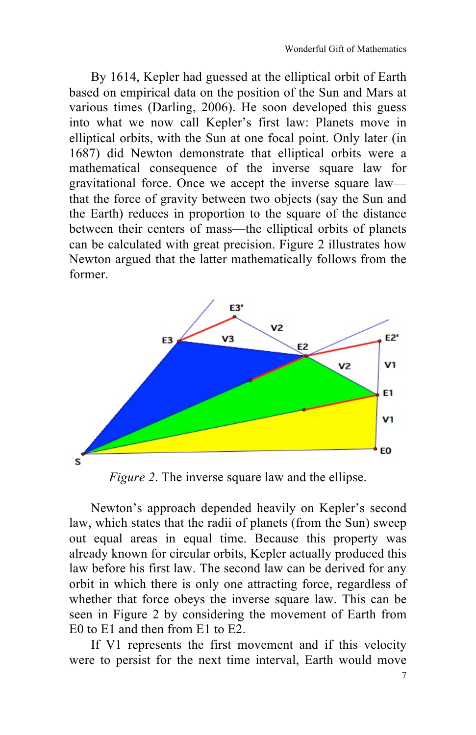By 1614, Kepler had guessed at the elliptical orbit of Earth based on empirical data on the position of the Sun and Mars at various times (Darling, 2006). He soon developed this guess into what we now call Kepler's first law: Planets move in elliptical orbits, with the Sun at one focal point. Only later (in 1687) did Newton demonstrate that elliptical orbits were a mathematical consequence of the inverse square law for gravitational force. Once we accept the inverse square law that the force of gravity between two objects (say the Sun and the Earth) reduces in proportion to the square of the distance between their centers of mass—the elliptical orbits of planets can be calculated with great precision. Figure 2 illustrates how Newton argued that the latter mathematically follows from the former.



*Figure 2.* The inverse square law and the ellipse.

Newton's approach depended heavily on Kepler's second law, which states that the radii of planets (from the Sun) sweep out equal areas in equal time. Because this property was already known for circular orbits, Kepler actually produced this law before his first law. The second law can be derived for any orbit in which there is only one attracting force, regardless of whether that force obeys the inverse square law. This can be seen in Figure 2 by considering the movement of Earth from E0 to E1 and then from E1 to E2.

If V1 represents the first movement and if this velocity were to persist for the next time interval, Earth would move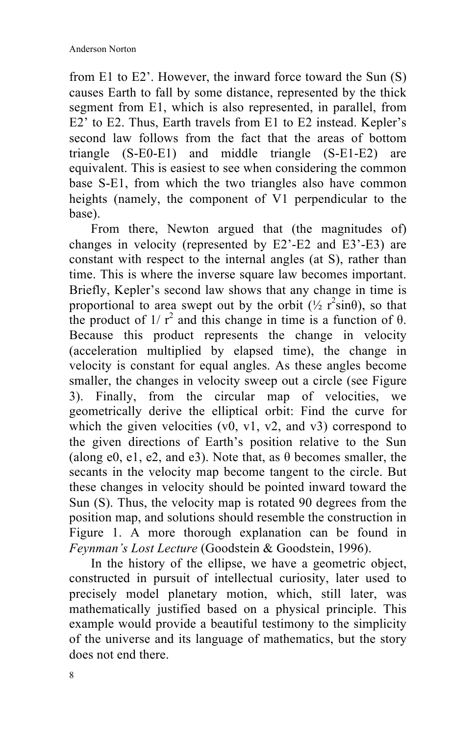from E1 to E2'. However, the inward force toward the Sun (S) causes Earth to fall by some distance, represented by the thick segment from E1, which is also represented, in parallel, from E2' to E2. Thus, Earth travels from E1 to E2 instead. Kepler's second law follows from the fact that the areas of bottom triangle (S-E0-E1) and middle triangle (S-E1-E2) are equivalent. This is easiest to see when considering the common base S-E1, from which the two triangles also have common heights (namely, the component of V1 perpendicular to the base).

From there, Newton argued that (the magnitudes of) changes in velocity (represented by E2'-E2 and E3'-E3) are constant with respect to the internal angles (at S), rather than time. This is where the inverse square law becomes important. Briefly, Kepler's second law shows that any change in time is proportional to area swept out by the orbit  $(\frac{1}{2} r^2 \sin{\theta})$ , so that the product of  $1/r^2$  and this change in time is a function of  $\theta$ . Because this product represents the change in velocity (acceleration multiplied by elapsed time), the change in velocity is constant for equal angles. As these angles become smaller, the changes in velocity sweep out a circle (see Figure 3). Finally, from the circular map of velocities, we geometrically derive the elliptical orbit: Find the curve for which the given velocities  $(v0, v1, v2, and v3)$  correspond to the given directions of Earth's position relative to the Sun (along e0, e1, e2, and e3). Note that, as  $\theta$  becomes smaller, the secants in the velocity map become tangent to the circle. But these changes in velocity should be pointed inward toward the Sun (S). Thus, the velocity map is rotated 90 degrees from the position map, and solutions should resemble the construction in Figure 1. A more thorough explanation can be found in *Feynman's Lost Lecture* (Goodstein & Goodstein, 1996).

In the history of the ellipse, we have a geometric object, constructed in pursuit of intellectual curiosity, later used to precisely model planetary motion, which, still later, was mathematically justified based on a physical principle. This example would provide a beautiful testimony to the simplicity of the universe and its language of mathematics, but the story does not end there.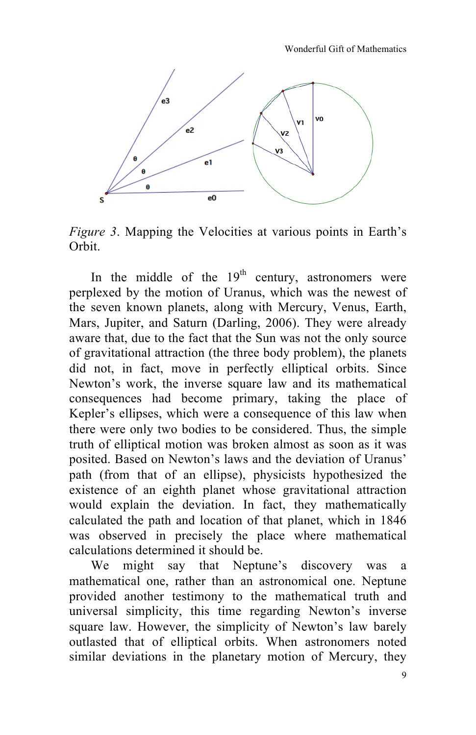

*Figure 3*. Mapping the Velocities at various points in Earth's Orbit.

In the middle of the  $19<sup>th</sup>$  century, astronomers were perplexed by the motion of Uranus, which was the newest of the seven known planets, along with Mercury, Venus, Earth, Mars, Jupiter, and Saturn (Darling, 2006). They were already aware that, due to the fact that the Sun was not the only source of gravitational attraction (the three body problem), the planets did not, in fact, move in perfectly elliptical orbits. Since Newton's work, the inverse square law and its mathematical consequences had become primary, taking the place of Kepler's ellipses, which were a consequence of this law when there were only two bodies to be considered. Thus, the simple truth of elliptical motion was broken almost as soon as it was posited. Based on Newton's laws and the deviation of Uranus' path (from that of an ellipse), physicists hypothesized the existence of an eighth planet whose gravitational attraction would explain the deviation. In fact, they mathematically calculated the path and location of that planet, which in 1846 was observed in precisely the place where mathematical calculations determined it should be.

We might say that Neptune's discovery was a mathematical one, rather than an astronomical one. Neptune provided another testimony to the mathematical truth and universal simplicity, this time regarding Newton's inverse square law. However, the simplicity of Newton's law barely outlasted that of elliptical orbits. When astronomers noted similar deviations in the planetary motion of Mercury, they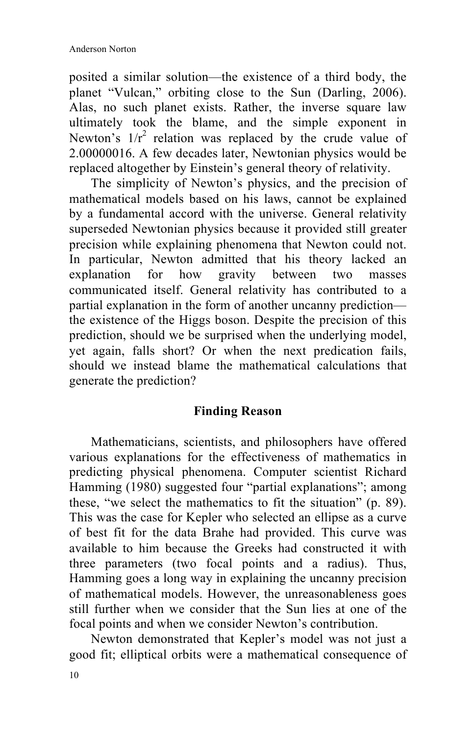posited a similar solution—the existence of a third body, the planet "Vulcan," orbiting close to the Sun (Darling, 2006). Alas, no such planet exists. Rather, the inverse square law ultimately took the blame, and the simple exponent in Newton's  $1/r^2$  relation was replaced by the crude value of 2.00000016. A few decades later, Newtonian physics would be replaced altogether by Einstein's general theory of relativity.

The simplicity of Newton's physics, and the precision of mathematical models based on his laws, cannot be explained by a fundamental accord with the universe. General relativity superseded Newtonian physics because it provided still greater precision while explaining phenomena that Newton could not. In particular, Newton admitted that his theory lacked an explanation for how gravity between two masses communicated itself. General relativity has contributed to a partial explanation in the form of another uncanny prediction the existence of the Higgs boson. Despite the precision of this prediction, should we be surprised when the underlying model, yet again, falls short? Or when the next predication fails, should we instead blame the mathematical calculations that generate the prediction?

### **Finding Reason**

Mathematicians, scientists, and philosophers have offered various explanations for the effectiveness of mathematics in predicting physical phenomena. Computer scientist Richard Hamming (1980) suggested four "partial explanations"; among these, "we select the mathematics to fit the situation" (p. 89). This was the case for Kepler who selected an ellipse as a curve of best fit for the data Brahe had provided. This curve was available to him because the Greeks had constructed it with three parameters (two focal points and a radius). Thus, Hamming goes a long way in explaining the uncanny precision of mathematical models. However, the unreasonableness goes still further when we consider that the Sun lies at one of the focal points and when we consider Newton's contribution.

Newton demonstrated that Kepler's model was not just a good fit; elliptical orbits were a mathematical consequence of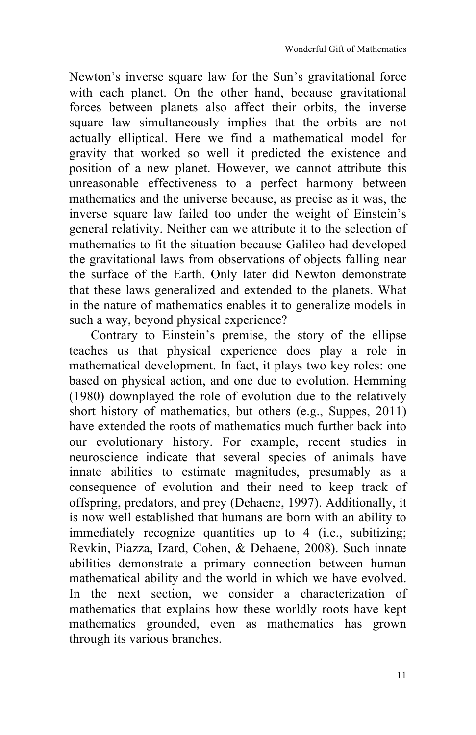Newton's inverse square law for the Sun's gravitational force with each planet. On the other hand, because gravitational forces between planets also affect their orbits, the inverse square law simultaneously implies that the orbits are not actually elliptical. Here we find a mathematical model for gravity that worked so well it predicted the existence and position of a new planet. However, we cannot attribute this unreasonable effectiveness to a perfect harmony between mathematics and the universe because, as precise as it was, the inverse square law failed too under the weight of Einstein's general relativity. Neither can we attribute it to the selection of mathematics to fit the situation because Galileo had developed the gravitational laws from observations of objects falling near the surface of the Earth. Only later did Newton demonstrate that these laws generalized and extended to the planets. What in the nature of mathematics enables it to generalize models in such a way, beyond physical experience?

Contrary to Einstein's premise, the story of the ellipse teaches us that physical experience does play a role in mathematical development. In fact, it plays two key roles: one based on physical action, and one due to evolution. Hemming (1980) downplayed the role of evolution due to the relatively short history of mathematics, but others (e.g., Suppes, 2011) have extended the roots of mathematics much further back into our evolutionary history. For example, recent studies in neuroscience indicate that several species of animals have innate abilities to estimate magnitudes, presumably as a consequence of evolution and their need to keep track of offspring, predators, and prey (Dehaene, 1997). Additionally, it is now well established that humans are born with an ability to immediately recognize quantities up to 4 (i.e., subitizing; Revkin, Piazza, Izard, Cohen, & Dehaene, 2008). Such innate abilities demonstrate a primary connection between human mathematical ability and the world in which we have evolved. In the next section, we consider a characterization of mathematics that explains how these worldly roots have kept mathematics grounded, even as mathematics has grown through its various branches.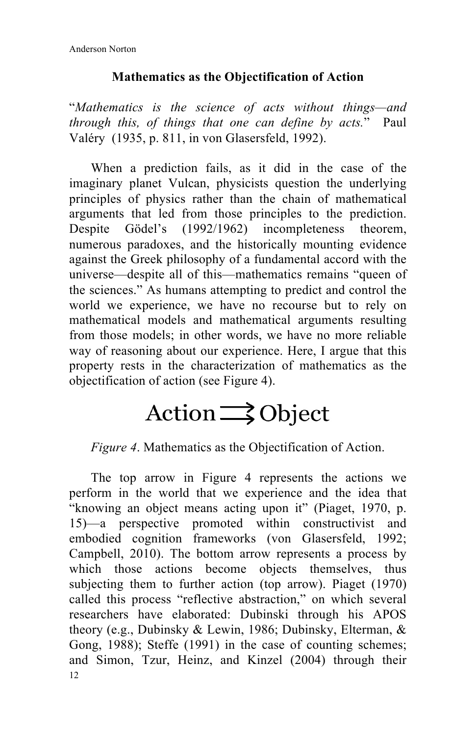## **Mathematics as the Objectification of Action**

"*Mathematics is the science of acts without things—and through this, of things that one can define by acts.*" Paul Valéry (1935, p. 811, in von Glasersfeld, 1992).

When a prediction fails, as it did in the case of the imaginary planet Vulcan, physicists question the underlying principles of physics rather than the chain of mathematical arguments that led from those principles to the prediction. Despite Gödel's (1992/1962) incompleteness theorem, numerous paradoxes, and the historically mounting evidence against the Greek philosophy of a fundamental accord with the universe—despite all of this—mathematics remains "queen of the sciences." As humans attempting to predict and control the world we experience, we have no recourse but to rely on mathematical models and mathematical arguments resulting from those models; in other words, we have no more reliable way of reasoning about our experience. Here, I argue that this property rests in the characterization of mathematics as the objectification of action (see Figure 4).

# $Action \longrightarrow Object$

*Figure 4*. Mathematics as the Objectification of Action.

12 The top arrow in Figure 4 represents the actions we perform in the world that we experience and the idea that "knowing an object means acting upon it" (Piaget, 1970, p. 15)—a perspective promoted within constructivist and embodied cognition frameworks (von Glasersfeld, 1992; Campbell, 2010). The bottom arrow represents a process by which those actions become objects themselves, thus subjecting them to further action (top arrow). Piaget (1970) called this process "reflective abstraction," on which several researchers have elaborated: Dubinski through his APOS theory (e.g., Dubinsky & Lewin, 1986; Dubinsky, Elterman, & Gong, 1988); Steffe (1991) in the case of counting schemes; and Simon, Tzur, Heinz, and Kinzel (2004) through their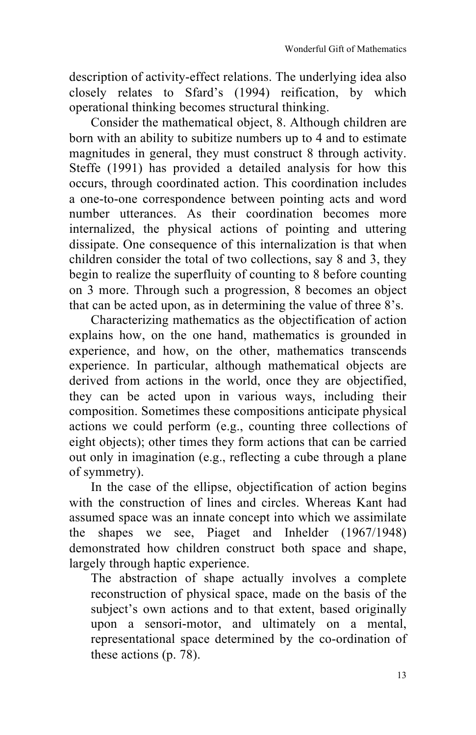description of activity-effect relations. The underlying idea also closely relates to Sfard's (1994) reification, by which operational thinking becomes structural thinking.

Consider the mathematical object, 8. Although children are born with an ability to subitize numbers up to 4 and to estimate magnitudes in general, they must construct 8 through activity. Steffe (1991) has provided a detailed analysis for how this occurs, through coordinated action. This coordination includes a one-to-one correspondence between pointing acts and word number utterances. As their coordination becomes more internalized, the physical actions of pointing and uttering dissipate. One consequence of this internalization is that when children consider the total of two collections, say 8 and 3, they begin to realize the superfluity of counting to 8 before counting on 3 more. Through such a progression, 8 becomes an object that can be acted upon, as in determining the value of three 8's.

Characterizing mathematics as the objectification of action explains how, on the one hand, mathematics is grounded in experience, and how, on the other, mathematics transcends experience. In particular, although mathematical objects are derived from actions in the world, once they are objectified, they can be acted upon in various ways, including their composition. Sometimes these compositions anticipate physical actions we could perform (e.g., counting three collections of eight objects); other times they form actions that can be carried out only in imagination (e.g., reflecting a cube through a plane of symmetry).

In the case of the ellipse, objectification of action begins with the construction of lines and circles. Whereas Kant had assumed space was an innate concept into which we assimilate the shapes we see, Piaget and Inhelder (1967/1948) demonstrated how children construct both space and shape, largely through haptic experience.

The abstraction of shape actually involves a complete reconstruction of physical space, made on the basis of the subject's own actions and to that extent, based originally upon a sensori-motor, and ultimately on a mental, representational space determined by the co-ordination of these actions (p. 78).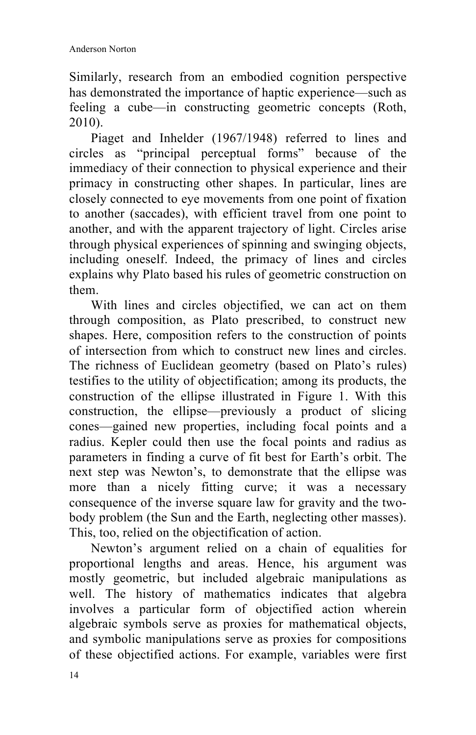Similarly, research from an embodied cognition perspective has demonstrated the importance of haptic experience—such as feeling a cube—in constructing geometric concepts (Roth, 2010).

Piaget and Inhelder (1967/1948) referred to lines and circles as "principal perceptual forms" because of the immediacy of their connection to physical experience and their primacy in constructing other shapes. In particular, lines are closely connected to eye movements from one point of fixation to another (saccades), with efficient travel from one point to another, and with the apparent trajectory of light. Circles arise through physical experiences of spinning and swinging objects, including oneself. Indeed, the primacy of lines and circles explains why Plato based his rules of geometric construction on them.

With lines and circles objectified, we can act on them through composition, as Plato prescribed, to construct new shapes. Here, composition refers to the construction of points of intersection from which to construct new lines and circles. The richness of Euclidean geometry (based on Plato's rules) testifies to the utility of objectification; among its products, the construction of the ellipse illustrated in Figure 1. With this construction, the ellipse—previously a product of slicing cones—gained new properties, including focal points and a radius. Kepler could then use the focal points and radius as parameters in finding a curve of fit best for Earth's orbit. The next step was Newton's, to demonstrate that the ellipse was more than a nicely fitting curve; it was a necessary consequence of the inverse square law for gravity and the twobody problem (the Sun and the Earth, neglecting other masses). This, too, relied on the objectification of action.

Newton's argument relied on a chain of equalities for proportional lengths and areas. Hence, his argument was mostly geometric, but included algebraic manipulations as well. The history of mathematics indicates that algebra involves a particular form of objectified action wherein algebraic symbols serve as proxies for mathematical objects, and symbolic manipulations serve as proxies for compositions of these objectified actions. For example, variables were first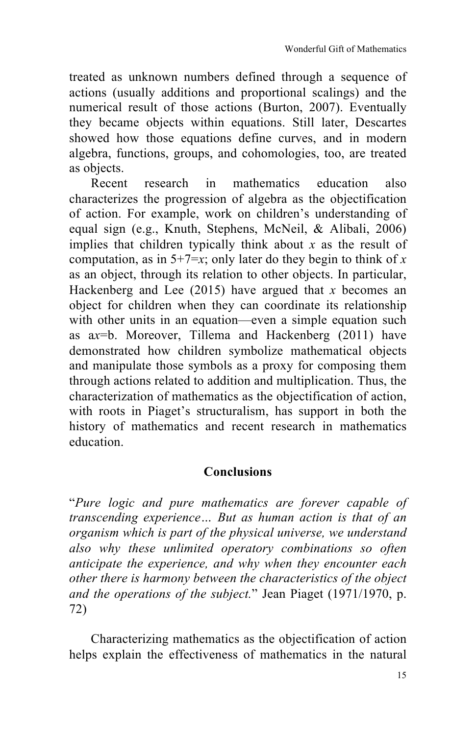treated as unknown numbers defined through a sequence of actions (usually additions and proportional scalings) and the numerical result of those actions (Burton, 2007). Eventually they became objects within equations. Still later, Descartes showed how those equations define curves, and in modern algebra, functions, groups, and cohomologies, too, are treated as objects.

Recent research in mathematics education also characterizes the progression of algebra as the objectification of action. For example, work on children's understanding of equal sign (e.g., Knuth, Stephens, McNeil, & Alibali, 2006) implies that children typically think about *x* as the result of computation, as in  $5+7=x$ ; only later do they begin to think of x as an object, through its relation to other objects. In particular, Hackenberg and Lee (2015) have argued that *x* becomes an object for children when they can coordinate its relationship with other units in an equation—even a simple equation such as a*x*=b. Moreover, Tillema and Hackenberg (2011) have demonstrated how children symbolize mathematical objects and manipulate those symbols as a proxy for composing them through actions related to addition and multiplication. Thus, the characterization of mathematics as the objectification of action, with roots in Piaget's structuralism, has support in both the history of mathematics and recent research in mathematics education.

### **Conclusions**

"*Pure logic and pure mathematics are forever capable of transcending experience… But as human action is that of an organism which is part of the physical universe, we understand also why these unlimited operatory combinations so often anticipate the experience, and why when they encounter each other there is harmony between the characteristics of the object and the operations of the subject.*" Jean Piaget (1971/1970, p. 72)

Characterizing mathematics as the objectification of action helps explain the effectiveness of mathematics in the natural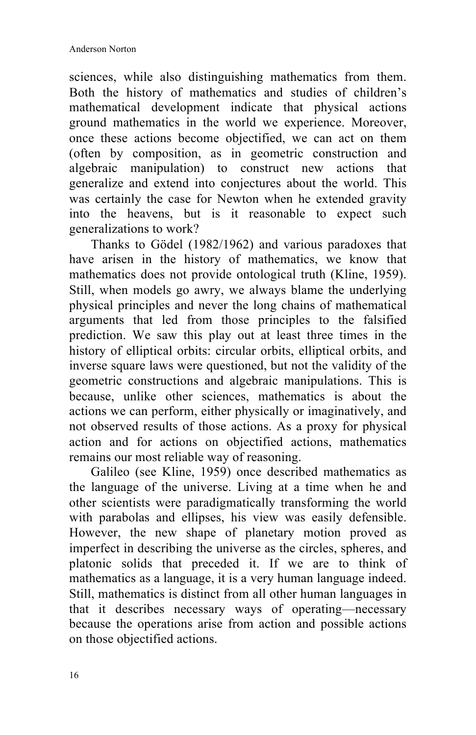sciences, while also distinguishing mathematics from them. Both the history of mathematics and studies of children's mathematical development indicate that physical actions ground mathematics in the world we experience. Moreover, once these actions become objectified, we can act on them (often by composition, as in geometric construction and algebraic manipulation) to construct new actions that generalize and extend into conjectures about the world. This was certainly the case for Newton when he extended gravity into the heavens, but is it reasonable to expect such generalizations to work?

Thanks to Gödel (1982/1962) and various paradoxes that have arisen in the history of mathematics, we know that mathematics does not provide ontological truth (Kline, 1959). Still, when models go awry, we always blame the underlying physical principles and never the long chains of mathematical arguments that led from those principles to the falsified prediction. We saw this play out at least three times in the history of elliptical orbits: circular orbits, elliptical orbits, and inverse square laws were questioned, but not the validity of the geometric constructions and algebraic manipulations. This is because, unlike other sciences, mathematics is about the actions we can perform, either physically or imaginatively, and not observed results of those actions. As a proxy for physical action and for actions on objectified actions, mathematics remains our most reliable way of reasoning.

Galileo (see Kline, 1959) once described mathematics as the language of the universe. Living at a time when he and other scientists were paradigmatically transforming the world with parabolas and ellipses, his view was easily defensible. However, the new shape of planetary motion proved as imperfect in describing the universe as the circles, spheres, and platonic solids that preceded it. If we are to think of mathematics as a language, it is a very human language indeed. Still, mathematics is distinct from all other human languages in that it describes necessary ways of operating—necessary because the operations arise from action and possible actions on those objectified actions.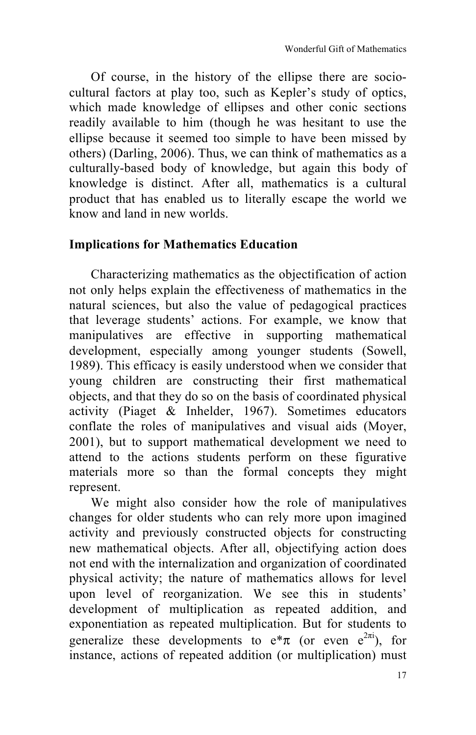Of course, in the history of the ellipse there are sociocultural factors at play too, such as Kepler's study of optics, which made knowledge of ellipses and other conic sections readily available to him (though he was hesitant to use the ellipse because it seemed too simple to have been missed by others) (Darling, 2006). Thus, we can think of mathematics as a culturally-based body of knowledge, but again this body of knowledge is distinct. After all, mathematics is a cultural product that has enabled us to literally escape the world we know and land in new worlds.

### **Implications for Mathematics Education**

Characterizing mathematics as the objectification of action not only helps explain the effectiveness of mathematics in the natural sciences, but also the value of pedagogical practices that leverage students' actions. For example, we know that manipulatives are effective in supporting mathematical development, especially among younger students (Sowell, 1989). This efficacy is easily understood when we consider that young children are constructing their first mathematical objects, and that they do so on the basis of coordinated physical activity (Piaget & Inhelder, 1967). Sometimes educators conflate the roles of manipulatives and visual aids (Moyer, 2001), but to support mathematical development we need to attend to the actions students perform on these figurative materials more so than the formal concepts they might represent.

We might also consider how the role of manipulatives changes for older students who can rely more upon imagined activity and previously constructed objects for constructing new mathematical objects. After all, objectifying action does not end with the internalization and organization of coordinated physical activity; the nature of mathematics allows for level upon level of reorganization. We see this in students' development of multiplication as repeated addition, and exponentiation as repeated multiplication. But for students to generalize these developments to  $e^*\pi$  (or even  $e^{2\pi i}$ ), for instance, actions of repeated addition (or multiplication) must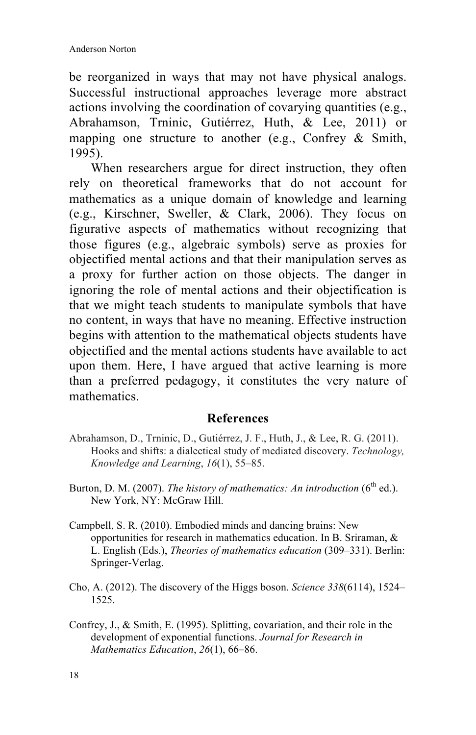be reorganized in ways that may not have physical analogs. Successful instructional approaches leverage more abstract actions involving the coordination of covarying quantities (e.g., Abrahamson, Trninic, Gutiérrez, Huth, & Lee, 2011) or mapping one structure to another (e.g., Confrey & Smith, 1995).

When researchers argue for direct instruction, they often rely on theoretical frameworks that do not account for mathematics as a unique domain of knowledge and learning (e.g., Kirschner, Sweller, & Clark, 2006). They focus on figurative aspects of mathematics without recognizing that those figures (e.g., algebraic symbols) serve as proxies for objectified mental actions and that their manipulation serves as a proxy for further action on those objects. The danger in ignoring the role of mental actions and their objectification is that we might teach students to manipulate symbols that have no content, in ways that have no meaning. Effective instruction begins with attention to the mathematical objects students have objectified and the mental actions students have available to act upon them. Here, I have argued that active learning is more than a preferred pedagogy, it constitutes the very nature of mathematics.

### **References**

- Abrahamson, D., Trninic, D., Gutiérrez, J. F., Huth, J., & Lee, R. G. (2011). Hooks and shifts: a dialectical study of mediated discovery. *Technology, Knowledge and Learning*, *16*(1), 55–85.
- Burton, D. M. (2007). *The history of mathematics: An introduction* (6<sup>th</sup> ed.). New York, NY: McGraw Hill.
- Campbell, S. R. (2010). Embodied minds and dancing brains: New opportunities for research in mathematics education. In B. Sriraman, & L. English (Eds.), *Theories of mathematics education* (309–331). Berlin: Springer-Verlag.
- Cho, A. (2012). The discovery of the Higgs boson. *Science 338*(6114), 1524– 1525.
- Confrey, J., & Smith, E. (1995). Splitting, covariation, and their role in the development of exponential functions. *Journal for Research in Mathematics Education*, *26*(1), 66–86.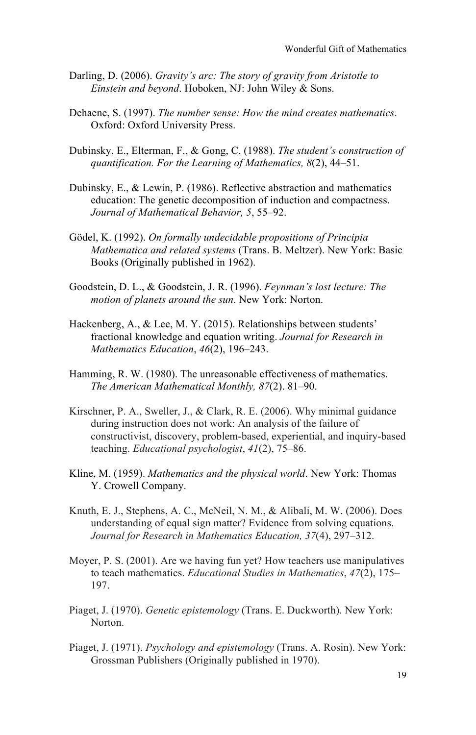- Darling, D. (2006). *Gravity's arc: The story of gravity from Aristotle to Einstein and beyond*. Hoboken, NJ: John Wiley & Sons.
- Dehaene, S. (1997). *The number sense: How the mind creates mathematics*. Oxford: Oxford University Press.
- Dubinsky, E., Elterman, F., & Gong, C. (1988). *The student's construction of quantification. For the Learning of Mathematics, 8*(2), 44–51.
- Dubinsky, E., & Lewin, P. (1986). Reflective abstraction and mathematics education: The genetic decomposition of induction and compactness. *Journal of Mathematical Behavior, 5*, 55–92.
- Gödel, K. (1992). *On formally undecidable propositions of Principia Mathematica and related systems* (Trans. B. Meltzer). New York: Basic Books (Originally published in 1962).
- Goodstein, D. L., & Goodstein, J. R. (1996). *Feynman's lost lecture: The motion of planets around the sun*. New York: Norton.
- Hackenberg, A., & Lee, M. Y. (2015). Relationships between students' fractional knowledge and equation writing. *Journal for Research in Mathematics Education*, *46*(2), 196–243.
- Hamming, R. W. (1980). The unreasonable effectiveness of mathematics. *The American Mathematical Monthly, 87*(2). 81–90.
- Kirschner, P. A., Sweller, J., & Clark, R. E. (2006). Why minimal guidance during instruction does not work: An analysis of the failure of constructivist, discovery, problem-based, experiential, and inquiry-based teaching. *Educational psychologist*, *41*(2), 75–86.
- Kline, M. (1959). *Mathematics and the physical world*. New York: Thomas Y. Crowell Company.
- Knuth, E. J., Stephens, A. C., McNeil, N. M., & Alibali, M. W. (2006). Does understanding of equal sign matter? Evidence from solving equations. *Journal for Research in Mathematics Education, 37*(4), 297–312.
- Moyer, P. S. (2001). Are we having fun yet? How teachers use manipulatives to teach mathematics. *Educational Studies in Mathematics*, *47*(2), 175– 197.
- Piaget, J. (1970). *Genetic epistemology* (Trans. E. Duckworth). New York: Norton.
- Piaget, J. (1971). *Psychology and epistemology* (Trans. A. Rosin). New York: Grossman Publishers (Originally published in 1970).